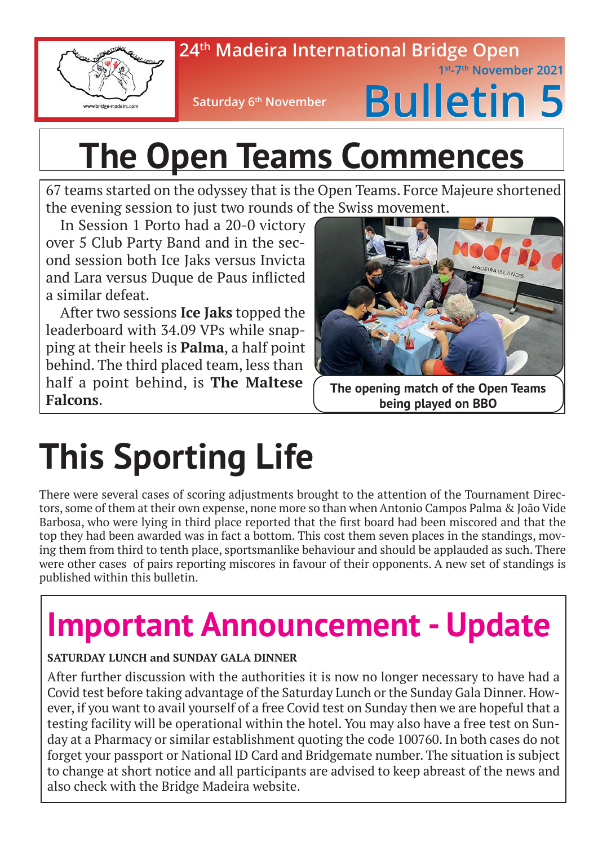

### **24th Madeira International Bridge Open**

**Saturday 6<sup>th</sup> November** 

# **Bulletin 5**

 **1st-7th November 2021**

# **The Open Teams Commences**

67 teams started on the odyssey that is the Open Teams. Force Majeure shortened the evening session to just two rounds of the Swiss movement.

In Session 1 Porto had a 20-0 victory over 5 Club Party Band and in the second session both Ice Jaks versus Invicta and Lara versus Duque de Paus inflicted a similar defeat.

After two sessions **Ice Jaks** topped the leaderboard with 34.09 VPs while snapping at their heels is **Palma**, a half point behind. The third placed team, less than half a point behind, is **The Maltese Falcons**.



**The opening match of the Open Teams being played on BBO**

# **This Sporting Life**

There were several cases of scoring adjustments brought to the attention of the Tournament Directors, some of them at their own expense, none more so than when Antonio Campos Palma & João Vide Barbosa, who were lying in third place reported that the first board had been miscored and that the top they had been awarded was in fact a bottom. This cost them seven places in the standings, moving them from third to tenth place, sportsmanlike behaviour and should be applauded as such. There were other cases of pairs reporting miscores in favour of their opponents. A new set of standings is published within this bulletin.

### **Important Announcement - Update**

#### **SATURDAY LUNCH and SUNDAY GALA DINNER**

After further discussion with the authorities it is now no longer necessary to have had a Covid test before taking advantage of the Saturday Lunch or the Sunday Gala Dinner. However, if you want to avail yourself of a free Covid test on Sunday then we are hopeful that a testing facility will be operational within the hotel. You may also have a free test on Sunday at a Pharmacy or similar establishment quoting the code 100760. In both cases do not forget your passport or National ID Card and Bridgemate number. The situation is subject to change at short notice and all participants are advised to keep abreast of the news and also check with the Bridge Madeira website.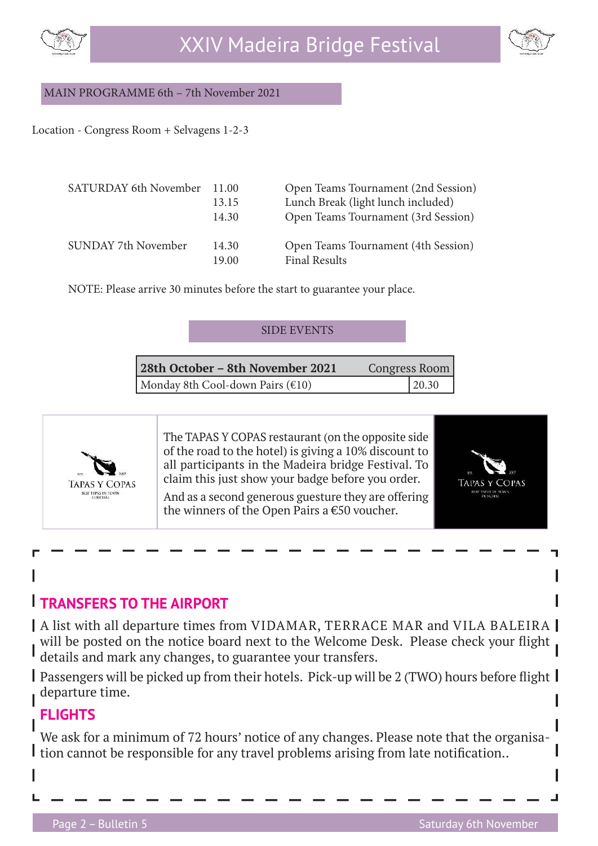



#### MAIN PROGRAMME 6th – 7th November 2021

Location - Congress Room + Selvagens 1-2-3

| SATURDAY 6th November 11.00 | 13.15<br>14.30 | Open Teams Tournament (2nd Session)<br>Lunch Break (light lunch included)<br>Open Teams Tournament (3rd Session) |
|-----------------------------|----------------|------------------------------------------------------------------------------------------------------------------|
| SUNDAY 7th November         | 14.30<br>19.00 | Open Teams Tournament (4th Session)<br><b>Final Results</b>                                                      |

NOTE: Please arrive 30 minutes before the start to guarantee your place.

| <b>SIDE EVENTS</b> |  |  |  |  |
|--------------------|--|--|--|--|
|--------------------|--|--|--|--|

| 28th October – 8th November 2021 | <b>Congress Room</b> |  |
|----------------------------------|----------------------|--|
| Monday 8th Cool-down Pairs (€10) | 20.30                |  |



The TAPAS Y COPAS restaurant (on the opposite side of the road to the hotel) is giving a 10% discount to all participants in the Madeira bridge Festival. To claim this just show your badge before you order.

And as a second generous guesture they are offering the winners of the Open Pairs a €50 voucher.



#### **TRANSFERS TO THE AIRPORT**

A list with all departure times from VIDAMAR, TERRACE MAR and VILA BALEIRA will be posted on the notice board next to the Welcome Desk. Please check your flight details and mark any changes, to guarantee your transfers.

Passengers will be picked up from their hotels. Pick-up will be 2 (TWO) hours before flight  $\parallel$ departure time.

#### **FLIGHTS**

We ask for a minimum of 72 hours' notice of any changes. Please note that the organisa-I tion cannot be responsible for any travel problems arising from late notification..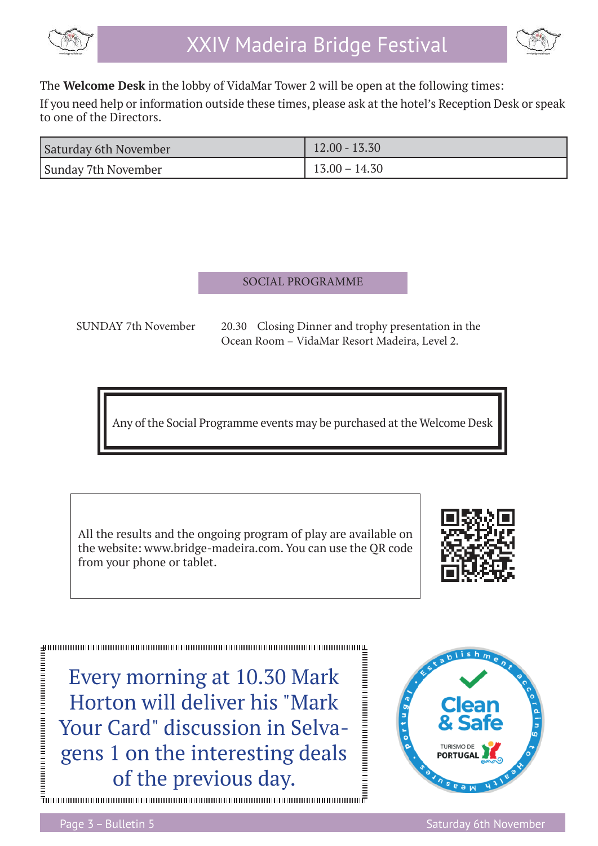

$$
\bigotimes_{i=1}^n
$$

The **Welcome Desk** in the lobby of VidaMar Tower 2 will be open at the following times:

If you need help or information outside these times, please ask at the hotel's Reception Desk or speak to one of the Directors.

| Saturday 6th November | $12.00 - 13.30$ |
|-----------------------|-----------------|
| Sunday 7th November   | $13.00 - 14.30$ |

#### SOCIAL PROGRAMME

 SUNDAY 7th November 20.30 Closing Dinner and trophy presentation in the Ocean Room – VidaMar Resort Madeira, Level 2.

Any of the Social Programme events may be purchased at the Welcome Desk

All the results and the ongoing program of play are available on the website: www.bridge-madeira.com. You can use the QR code from your phone or tablet.



Every morning at 10.30 Mark Horton will deliver his "Mark Your Card" discussion in Selvagens 1 on the interesting deals of the previous day.

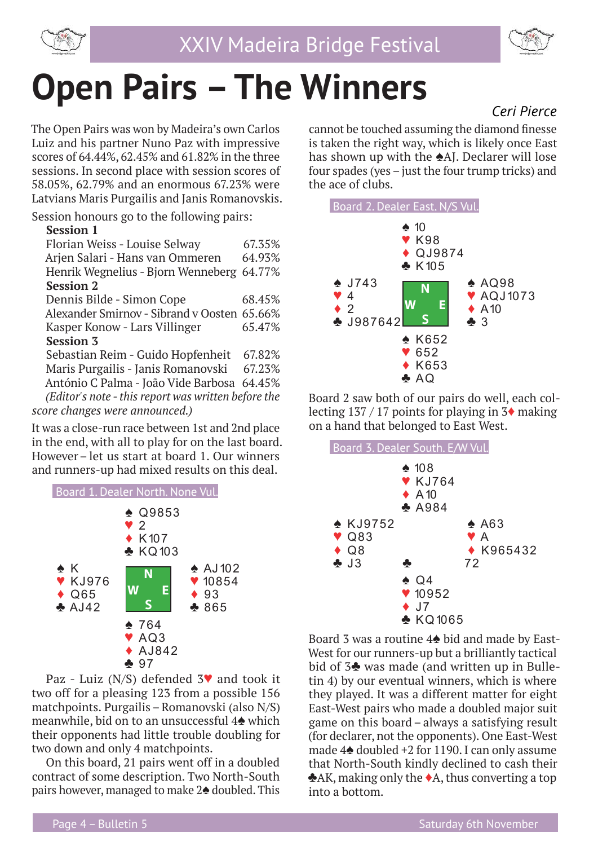



### **Open Pairs – The Winners**  *Ceri Pierce*

The Open Pairs was won by Madeira's own Carlos Luiz and his partner Nuno Paz with impressive scores of 64.44%, 62.45% and 61.82% in the three sessions. In second place with session scores of 58.05%, 62.79% and an enormous 67.23% were Latvians Maris Purgailis and Janis Romanovskis.

Session honours go to the following pairs:

#### **Session 1**

| Florian Weiss - Louise Selway                       | 67.35% |
|-----------------------------------------------------|--------|
| Arjen Salari - Hans van Ommeren                     | 64.93% |
| Henrik Wegnelius - Bjorn Wenneberg                  | 64.77% |
| <b>Session 2</b>                                    |        |
| Dennis Bilde - Simon Cope                           | 68.45% |
| Alexander Smirnov - Sibrand v Oosten 65.66%         |        |
| Kasper Konow - Lars Villinger                       | 65.47% |
| <b>Session 3</b>                                    |        |
| Sebastian Reim - Guido Hopfenheit                   | 67.82% |
| Maris Purgailis - Janis Romanovski                  | 67.23% |
| António C Palma - João Vide Barbosa 64.45%          |        |
| (Editor's note - this report was written before the |        |
| score changes were announced.)                      |        |
|                                                     |        |

It was a close-run race between 1st and 2nd place in the end, with all to play for on the last board. However– let us start at board 1. Our winners and runners-up had mixed results on this deal.



Paz - Luiz (N/S) defended 3♥ and took it two off for a pleasing 123 from a possible 156 matchpoints. Purgailis – Romanovski (also N/S) meanwhile, bid on to an unsuccessful 4♠ which their opponents had little trouble doubling for two down and only 4 matchpoints.

On this board, 21 pairs went off in a doubled contract of some description. Two North-South pairs however, managed to make 2♠ doubled. This

cannot be touched assuming the diamond finesse is taken the right way, which is likely once East has shown up with the ♠AJ. Declarer will lose four spades (yes  $-$  just the four trump tricks) and the ace of clubs.



Board 2 saw both of our pairs do well, each collecting  $137 / 17$  points for playing in  $3\blacklozenge$  making on a hand that belonged to East West.



Board 3 was a routine 4♠ bid and made by East-West for our runners-up but a brilliantly tactical bid of 3♣ was made (and written up in Bulletin 4) by our eventual winners, which is where they played. It was a different matter for eight East-West pairs who made a doubled major suit game on this board – always a satisfying result (for declarer, not the opponents). One East-West made 4♠ doubled +2 for 1190. I can only assume that North-South kindly declined to cash their ♣AK, making only the ♦A, thus converting a top into a bottom.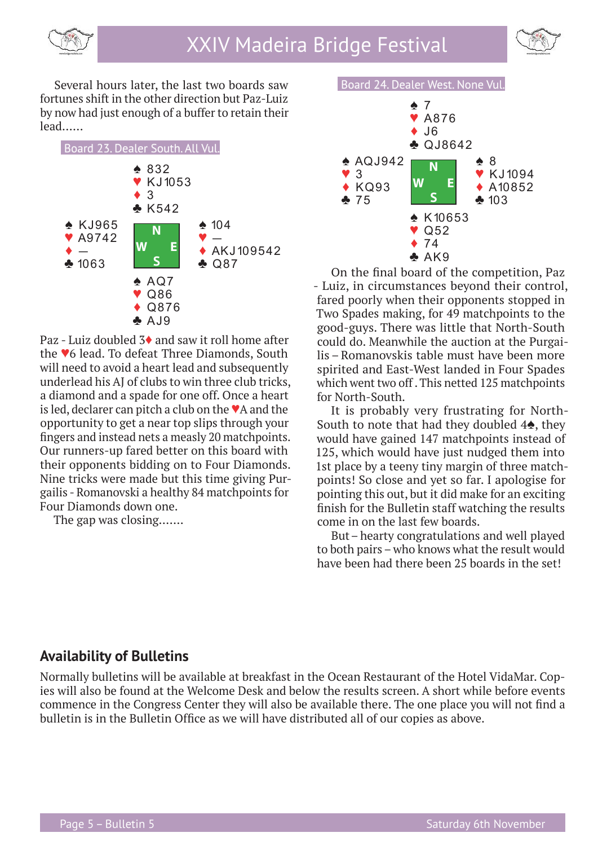



Several hours later, the last two boards saw fortunes shift in the other direction but Paz-Luiz by now had just enough of a buffer to retain their lead……



Paz - Luiz doubled 3♦ and saw it roll home after the ♥6 lead. To defeat Three Diamonds, South will need to avoid a heart lead and subsequently underlead his AJ of clubs to win three club tricks, a diamond and a spade for one off. Once a heart is led, declarer can pitch a club on the  $\blacktriangledown A$  and the opportunity to get a near top slips through your fingers and instead nets a measly 20 matchpoints. Our runners-up fared better on this board with their opponents bidding on to Four Diamonds. Nine tricks were made but this time giving Purgailis - Romanovski a healthy 84 matchpoints for Four Diamonds down one.

The gap was closing…….



On the final board of the competition, Paz - Luiz, in circumstances beyond their control, fared poorly when their opponents stopped in Two Spades making, for 49 matchpoints to the good-guys. There was little that North-South could do. Meanwhile the auction at the Purgailis – Romanovskis table must have been more spirited and East-West landed in Four Spades which went two off . This netted 125 matchpoints for North-South.

It is probably very frustrating for North-South to note that had they doubled 4♠, they would have gained 147 matchpoints instead of 125, which would have just nudged them into 1st place by a teeny tiny margin of three matchpoints! So close and yet so far. I apologise for pointing this out, but it did make for an exciting finish for the Bulletin staff watching the results come in on the last few boards.

But– hearty congratulations and well played to both pairs – who knows what the result would have been had there been 25 boards in the set!

#### **Availability of Bulletins**

Normally bulletins will be available at breakfast in the Ocean Restaurant of the Hotel VidaMar. Copies will also be found at the Welcome Desk and below the results screen. A short while before events commence in the Congress Center they will also be available there. The one place you will not find a bulletin is in the Bulletin Office as we will have distributed all of our copies as above.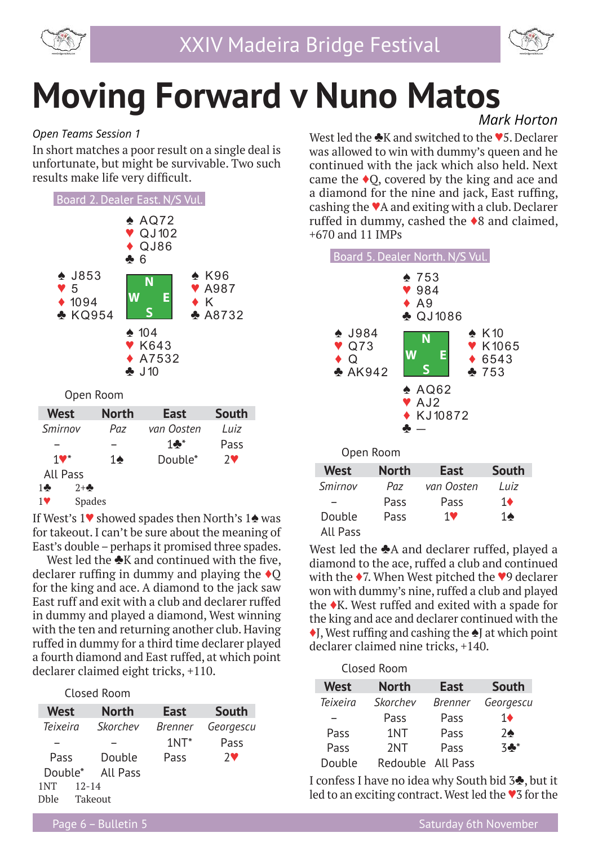



# **Moving Forward v Nuno Matos**

#### *Open Teams Session 1*

In short matches a poor result on a single deal is unfortunate, but might be survivable. Two such results make life very difficult.



Open Room

| <b>West</b>           | <b>North</b>  | <b>East</b>     | <b>South</b> |
|-----------------------|---------------|-----------------|--------------|
| Smirnov               | Paz           | van Oosten      | I uiz        |
|                       |               | $1 \clubsuit^*$ | Pass         |
| $1$ V $^*$            | 14            | Double*         | $7$ V        |
| All Pass              |               |                 |              |
| $2 + \clubsuit$<br>10 |               |                 |              |
| 1V                    | <b>Spades</b> |                 |              |

If West's 1♥ showed spades then North's 1♠ was for takeout. I can't be sure about the meaning of East's double – perhaps it promised three spades.

West led the  $\clubsuit K$  and continued with the five, declarer ruffing in dummy and playing the  $\triangle$ Q for the king and ace. A diamond to the jack saw East ruff and exit with a club and declarer ruffed in dummy and played a diamond, West winning with the ten and returning another club. Having ruffed in dummy for a third time declarer played a fourth diamond and East ruffed, at which point declarer claimed eight tricks, +110.

Closed Room

| <b>West</b> |           | <b>North</b> | <b>East</b>    | South     |
|-------------|-----------|--------------|----------------|-----------|
| Teixeira    |           | Skorchev     | <i>Brenner</i> | Georgescu |
|             |           |              | $1NT^*$        | Pass      |
| Pass        |           | Double       | Pass           | $7$ V     |
| Double*     |           | All Pass     |                |           |
| 1NT         | $12 - 14$ |              |                |           |
| Dhle        |           | Takeout      |                |           |

 *Mark Horton*

West led the **♣K** and switched to the ♥5. Declarer was allowed to win with dummy's queen and he continued with the jack which also held. Next came the  $\triangle$ O, covered by the king and ace and a diamond for the nine and jack, East ruffing, cashing the ♥A and exiting with a club. Declarer ruffed in dummy, cashed the ♦8 and claimed, +670 and 11 IMPs



| <b>West</b> | <b>North</b> | <b>East</b> | South          |
|-------------|--------------|-------------|----------------|
| Smirnov     | Paz          | van Oosten  | I uiz          |
|             | Pass         | Pass        | 1♦             |
| Double      | Pass         | 1♥          | 1 $\spadesuit$ |
| All Pass    |              |             |                |

West led the ♣A and declarer ruffed, played a diamond to the ace, ruffed a club and continued with the ♦7. When West pitched the ♥9 declarer won with dummy's nine, ruffed a club and played the ♦K. West ruffed and exited with a spade for the king and ace and declarer continued with the ♦J, West ruffing and cashing the ♦J at which point declarer claimed nine tricks, +140.

|                 | Closed Room       |                |                   |
|-----------------|-------------------|----------------|-------------------|
| <b>West</b>     | <b>North</b>      | <b>East</b>    | <b>South</b>      |
| <b>Teixeira</b> | Skorchev          | <b>Brenner</b> | Georgescu         |
|                 | Pass              | Pass           | 1♦                |
| Pass            | 1NT               | Pass           | $7\spadesuit$     |
| Pass            | 2NT               | Pass           | $3$ $\clubsuit^*$ |
| Double          | Redouble All Pass |                |                   |

I confess I have no idea why South bid 3♣, but it led to an exciting contract. West led the ♥3 for the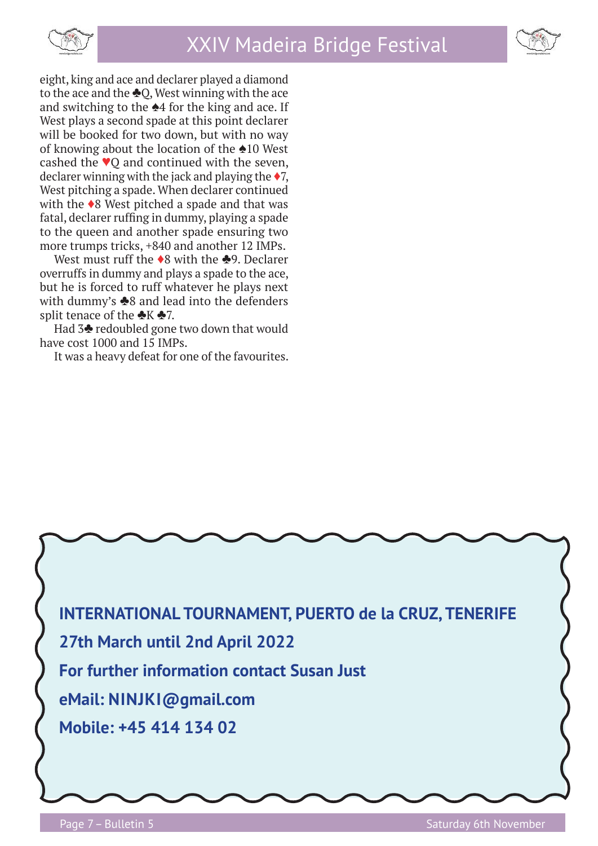



eight, king and ace and declarer played a diamond to the ace and the  $\triangle Q$ , West winning with the ace and switching to the  $\triangle 4$  for the king and ace. If West plays a second spade at this point declarer will be booked for two down, but with no way of knowing about the location of the ♠10 West cashed the ♥Q and continued with the seven, declarer winning with the jack and playing the  $\blacklozenge$ 7, West pitching a spade. When declarer continued with the ♦8 West pitched a spade and that was fatal, declarer ruffing in dummy, playing a spade to the queen and another spade ensuring two more trumps tricks, +840 and another 12 IMPs.

West must ruff the ◆8 with the ♣9. Declarer overruffs in dummy and plays a spade to the ace, but he is forced to ruff whatever he plays next with dummy's  $\triangle$ 8 and lead into the defenders split tenace of the  $\clubsuit K \clubsuit 7$ .

Had 3♣ redoubled gone two down that would have cost 1000 and 15 IMPs.

It was a heavy defeat for one of the favourites.

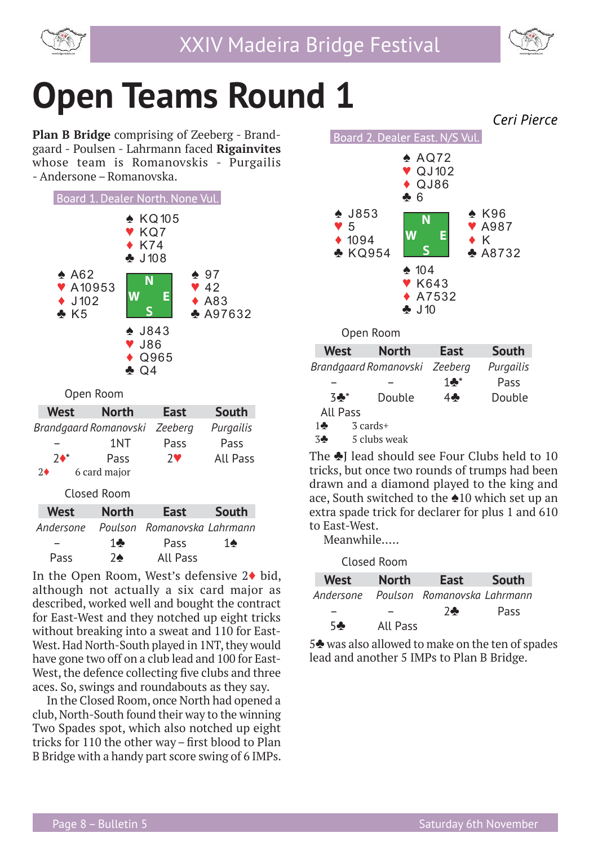



## **Open Teams Round 1**

**Plan B Bridge** comprising of Zeeberg - Brandgaard - Poulsen - Lahrmann faced **Rigainvites**  whose team is Romanovskis - Purgailis - Andersone – Romanovska.



Open Room

| <b>West</b>           | <b>North</b> | East                | South        |
|-----------------------|--------------|---------------------|--------------|
| Brandgaard Romanovski |              | Zeeberg             | Purgailis    |
|                       | 1NT          | Pass                | Pass         |
| $7^*$                 | Pass         | $7$ V               | All Pass     |
| $2\blacklozenge$      | 6 card major |                     |              |
|                       | Closed Room  |                     |              |
| <b>West</b>           | <b>North</b> | East                | <b>South</b> |
| Andersone             | Poulson      | Romanovska Lahrmann |              |
|                       |              |                     |              |
|                       | 1            | Pass                | 14           |

In the Open Room, West's defensive 2♦ bid, although not actually a six card major as described, worked well and bought the contract for East-West and they notched up eight tricks without breaking into a sweat and 110 for East-West. Had North-South played in 1NT, they would have gone two off on a club lead and 100 for East-West, the defence collecting five clubs and three aces. So, swings and roundabouts as they say.

In the Closed Room, once North had opened a club, North-South found their way to the winning Two Spades spot, which also notched up eight tricks for 110 the other way – first blood to Plan B Bridge with a handy part score swing of 6 IMPs.



The ♣J lead should see Four Clubs held to 10 tricks, but once two rounds of trumps had been drawn and a diamond played to the king and ace, South switched to the ♠10 which set up an extra spade trick for declarer for plus 1 and 610 to East-West.

Meanwhile…..

Closed Room

| West       | <b>North</b> | East                                  | <b>South</b> |
|------------|--------------|---------------------------------------|--------------|
|            |              | Andersone Poulson Romanovska Lahrmann |              |
|            |              | $7 -$                                 | <b>Pass</b>  |
| 5 <b>.</b> | All Pass     |                                       |              |

5♣ was also allowed to make on the ten of spades lead and another 5 IMPs to Plan B Bridge.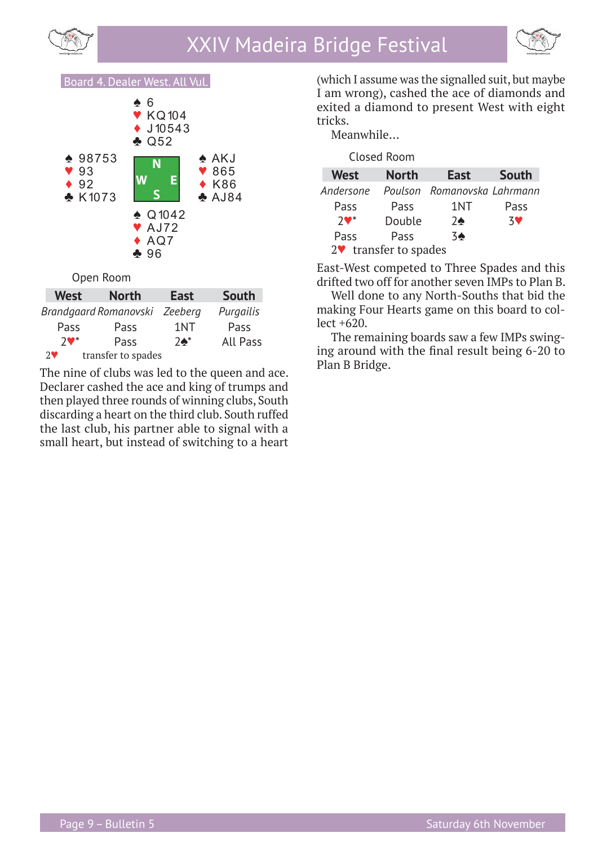





| <b>West</b>           | <b>North</b>          | <b>East</b>     | South           |
|-----------------------|-----------------------|-----------------|-----------------|
|                       | Brandgaard Romanovski | Zeeberg         | Purgailis       |
| Pass                  | Pass                  | 1NT             | Pass            |
| $7$ V*                | Pass                  | $7\spadesuit^*$ | <b>All Pass</b> |
| $2\blacktriangledown$ | transfer to spades    |                 |                 |

The nine of clubs was led to the queen and ace. Declarer cashed the ace and king of trumps and then played three rounds of winning clubs, South discarding a heart on the third club. South ruffed the last club, his partner able to signal with a small heart, but instead of switching to a heart

(which I assume was the signalled suit, but maybe I am wrong), cashed the ace of diamonds and exited a diamond to present West with eight tricks.

Meanwhile…

|                       |                            | Closed Room  |                             |           |
|-----------------------|----------------------------|--------------|-----------------------------|-----------|
|                       | <b>West</b>                | <b>North</b> | <b>East</b>                 | South     |
|                       | Andersone                  |              | Poulson Romanovska Lahrmann |           |
|                       | Pass                       | Pass         | 1NT                         | Pass      |
|                       | $7$ $\blacktriangledown^*$ | Double       | $2\spadesuit$               | <b>3V</b> |
|                       | Pass                       | Pass         | $3\spadesuit$               |           |
| 2♥ transfer to spades |                            |              |                             |           |

East-West competed to Three Spades and this drifted two off for another seven IMPs to Plan B.

Well done to any North-Souths that bid the making Four Hearts game on this board to collect +620.

The remaining boards saw a few IMPs swinging around with the final result being 6-20 to Plan B Bridge.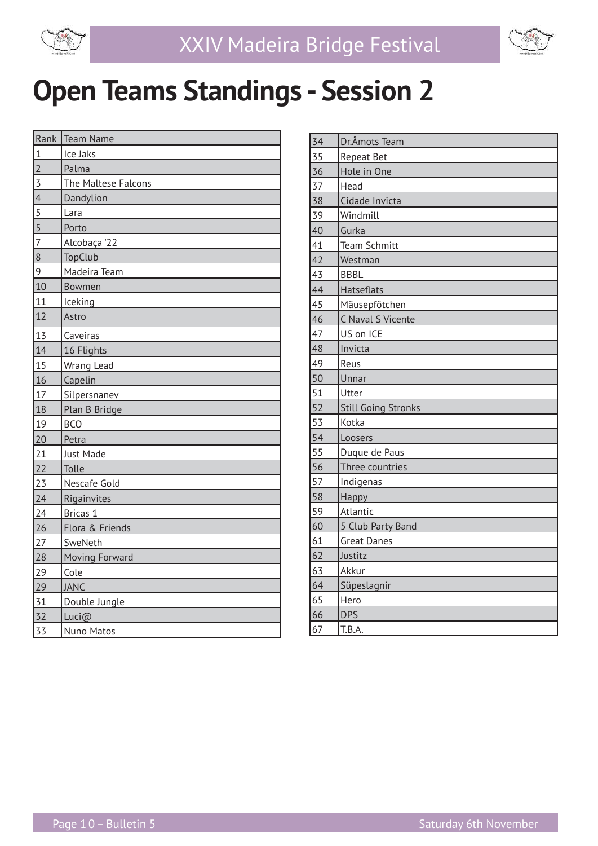

$$
\textcolor{blue}{\textcircled{\footnotesize{f}}}
$$

### **Open Teams Standings - Session 2**

|                     | Rank Team Name      |  |  |
|---------------------|---------------------|--|--|
| $\mathbf{1}$        | Ice Jaks            |  |  |
| $\overline{2}$      | Palma               |  |  |
| $\overline{3}$      | The Maltese Falcons |  |  |
| $\overline{4}$      | Dandylion           |  |  |
| $\overline{5}$      | Lara                |  |  |
| $\overline{5}$      | Porto               |  |  |
| $\overline{7}$      | Alcobaça '22        |  |  |
| 8<br><b>TopClub</b> |                     |  |  |
| 9                   | Madeira Team        |  |  |
| 10                  | Bowmen              |  |  |
| 11                  | Iceking             |  |  |
| 12                  | Astro               |  |  |
| 13                  | Caveiras            |  |  |
| 14                  | 16 Flights          |  |  |
| 15                  | Wrang Lead          |  |  |
| 16                  | Capelin             |  |  |
| 17                  | Silpersnanev        |  |  |
| 18                  | Plan B Bridge       |  |  |
| 19                  | <b>BCO</b>          |  |  |
| 20                  | Petra               |  |  |
| 21                  | Just Made           |  |  |
| 22                  | Tolle               |  |  |
| 23                  | Nescafe Gold        |  |  |
| 24                  | Rigainvites         |  |  |
| 24                  | Bricas 1            |  |  |
| 26                  | Flora & Friends     |  |  |
| 27                  | SweNeth             |  |  |
| 28                  | Moving Forward      |  |  |
| 29                  | Cole                |  |  |
| 29                  | <b>JANC</b>         |  |  |
| 31                  | Double Jungle       |  |  |
| 32                  | Luci@               |  |  |
| 33                  | Nuno Matos          |  |  |

| 34              | Dr.Åmots Team              |  |  |  |
|-----------------|----------------------------|--|--|--|
| 35              | Repeat Bet                 |  |  |  |
| 36              | Hole in One                |  |  |  |
| 37              | Head                       |  |  |  |
| 38              | Cidade Invicta             |  |  |  |
| 39              | Windmill                   |  |  |  |
| 40              | Gurka                      |  |  |  |
| 41              | <b>Team Schmitt</b>        |  |  |  |
| 42              | Westman                    |  |  |  |
| 43              | <b>BBBL</b>                |  |  |  |
| 44              | Hatseflats                 |  |  |  |
| 45              | Mäusepfötchen              |  |  |  |
| 46              | C Naval S Vicente          |  |  |  |
| 47              | US on ICE                  |  |  |  |
| 48              | Invicta                    |  |  |  |
| 49              | Reus                       |  |  |  |
| 50              | Unnar                      |  |  |  |
| 51              | Utter                      |  |  |  |
| 52              | <b>Still Going Stronks</b> |  |  |  |
| 53              | Kotka                      |  |  |  |
| 54              | Loosers                    |  |  |  |
| 55              | Duque de Paus              |  |  |  |
| $\overline{56}$ | Three countries            |  |  |  |
| 57              | Indigenas                  |  |  |  |
| 58              | Happy                      |  |  |  |
| 59              | Atlantic                   |  |  |  |
| 60              | 5 Club Party Band          |  |  |  |
| 61              | <b>Great Danes</b>         |  |  |  |
| 62              | Justitz                    |  |  |  |
| 63              | Akkur                      |  |  |  |
| 64              | Süpeslagnir                |  |  |  |
| 65              | Hero                       |  |  |  |
| 66              | <b>DPS</b>                 |  |  |  |
| 67              | T.B.A.                     |  |  |  |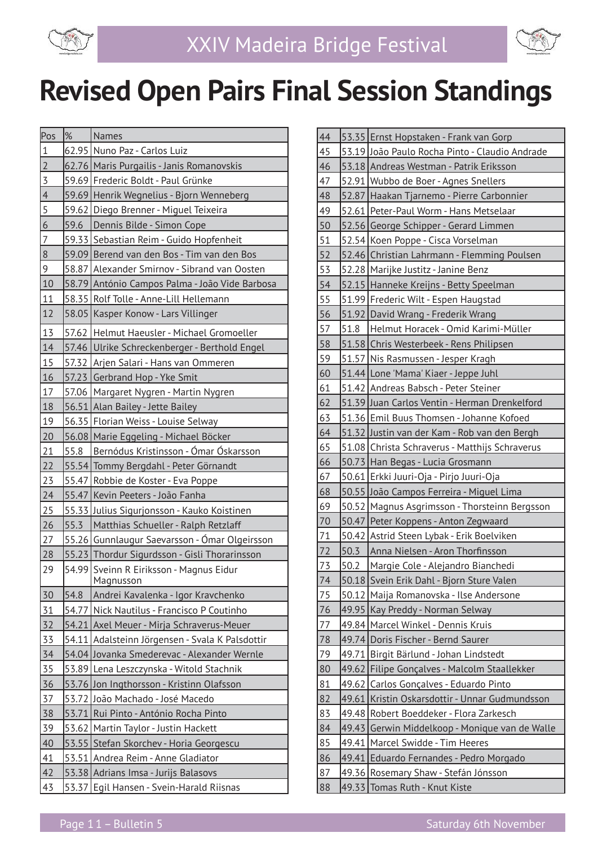



| $\%$ | Names                                                |
|------|------------------------------------------------------|
|      | 62.95 Nuno Paz - Carlos Luiz                         |
|      | 62.76 Maris Purgailis - Janis Romanovskis            |
|      | 59.69 Frederic Boldt - Paul Grünke                   |
|      | 59.69 Henrik Wegnelius - Bjorn Wenneberg             |
|      | 59.62 Diego Brenner - Miguel Teixeira                |
| 59.6 | Dennis Bilde - Simon Cope                            |
|      | 59.33 Sebastian Reim - Guido Hopfenheit              |
|      | 59.09 Berend van den Bos - Tim van den Bos           |
|      | 58.87 Alexander Smirnov - Sibrand van Oosten         |
|      | 58.79 António Campos Palma - João Vide Barbosa       |
|      | 58.35 Rolf Tolle - Anne-Lill Hellemann               |
|      | 58.05 Kasper Konow - Lars Villinger                  |
|      | 57.62 Helmut Haeusler - Michael Gromoeller           |
|      | 57.46 Ulrike Schreckenberger - Berthold Engel        |
|      | 57.32 Arjen Salari - Hans van Ommeren                |
|      | 57.23 Gerbrand Hop - Yke Smit                        |
|      | 57.06   Margaret Nygren - Martin Nygren              |
|      | 56.51 Alan Bailey - Jette Bailey                     |
|      | 56.35 Florian Weiss - Louise Selway                  |
|      | 56.08 Marie Eggeling - Michael Böcker                |
| 55.8 | Bernódus Kristinsson - Ómar Óskarsson                |
|      | 55.54 Tommy Bergdahl - Peter Görnandt                |
|      | 55.47 Robbie de Koster - Eva Poppe                   |
|      | 55.47 Kevin Peeters - João Fanha                     |
|      | 55.33 Julius Sigurjonsson - Kauko Koistinen          |
| 55.3 | Matthias Schueller - Ralph Retzlaff                  |
|      | 55.26 Gunnlaugur Saevarsson - Ómar Olgeirsson        |
|      | 55.23 Thordur Sigurdsson - Gisli Thorarinsson        |
|      | 54.99 Sveinn R Eiriksson - Magnus Eidur<br>Magnusson |
| 54.8 | Andrei Kavalenka - Igor Kravchenko                   |
|      | 54.77 Nick Nautilus - Francisco P Coutinho           |
|      | 54.21 Axel Meuer - Mirja Schraverus-Meuer            |
|      | 54.11 Adalsteinn Jörgensen - Svala K Palsdottir      |
|      | 54.04 Jovanka Smederevac - Alexander Wernle          |
|      | 53.89 Lena Leszczynska - Witold Stachnik             |
|      | 53.76 Jon Ingthorsson - Kristinn Olafsson            |
|      | 53.72 João Machado - José Macedo                     |
|      | 53.71 Rui Pinto - António Rocha Pinto                |
|      | 53.62 Martin Taylor - Justin Hackett                 |
|      | 53.55 Stefan Skorchev - Horia Georgescu              |
|      | 53.51 Andrea Reim - Anne Gladiator                   |
|      | 53.38 Adrians Imsa - Jurijs Balasovs                 |
|      | 53.37 Egil Hansen - Svein-Harald Riisnas             |
|      |                                                      |

| 44 |       | 53.35 Ernst Hopstaken - Frank van Gorp         |
|----|-------|------------------------------------------------|
| 45 |       | 53.19 João Paulo Rocha Pinto - Claudio Andrade |
| 46 |       | 53.18 Andreas Westman - Patrik Eriksson        |
| 47 |       | 52.91 Wubbo de Boer - Agnes Snellers           |
| 48 |       | 52.87 Haakan Tjarnemo - Pierre Carbonnier      |
| 49 |       | 52.61 Peter-Paul Worm - Hans Metselaar         |
| 50 |       | 52.56 George Schipper - Gerard Limmen          |
| 51 |       | 52.54 Koen Poppe - Cisca Vorselman             |
| 52 |       | 52.46 Christian Lahrmann - Flemming Poulsen    |
| 53 |       | 52.28 Marijke Justitz - Janine Benz            |
| 54 |       | 52.15 Hanneke Kreijns - Betty Speelman         |
| 55 |       | 51.99 Frederic Wilt - Espen Haugstad           |
| 56 |       | 51.92 David Wrang - Frederik Wrang             |
| 57 | 51.8  | Helmut Horacek - Omid Karimi-Müller            |
| 58 |       | 51.58 Chris Westerbeek - Rens Philipsen        |
| 59 |       | 51.57 Nis Rasmussen - Jesper Kragh             |
| 60 |       | 51.44 Lone 'Mama' Kiaer - Jeppe Juhl           |
| 61 |       | 51.42 Andreas Babsch - Peter Steiner           |
| 62 |       | 51.39 Juan Carlos Ventin - Herman Drenkelford  |
| 63 |       | 51.36 Emil Buus Thomsen - Johanne Kofoed       |
| 64 |       | 51.32 Justin van der Kam - Rob van den Bergh   |
| 65 |       | 51.08 Christa Schraverus - Matthijs Schraverus |
| 66 |       | 50.73 Han Begas - Lucia Grosmann               |
| 67 |       | 50.61 Erkki Juuri-Oja - Pirjo Juuri-Oja        |
| 68 |       | 50.55 João Campos Ferreira - Miguel Lima       |
| 69 |       | 50.52 Magnus Asgrimsson - Thorsteinn Bergsson  |
| 70 |       | 50.47 Peter Koppens - Anton Zegwaard           |
| 71 |       | 50.42 Astrid Steen Lybak - Erik Boelviken      |
| 72 | 50.3  | Anna Nielsen - Aron Thorfinsson                |
| 73 | 50.2  | Margie Cole - Alejandro Bianchedi              |
| 74 |       | 50.18 Svein Erik Dahl - Bjorn Sture Valen      |
| 75 |       | 50.12 Maija Romanovska - Ilse Andersone        |
| 76 |       | 49.95 Kay Preddy - Norman Selway               |
| 77 |       | 49.84   Marcel Winkel - Dennis Kruis           |
| 78 |       | 49.74 Doris Fischer - Bernd Saurer             |
| 79 |       | 49.71 Birgit Bärlund - Johan Lindstedt         |
| 80 |       | 49.62 Filipe Gonçalves - Malcolm Staallekker   |
| 81 |       | 49.62 Carlos Gonçalves - Eduardo Pinto         |
| 82 | 49.61 | Kristin Oskarsdottir - Unnar Gudmundsson       |
| 83 |       | 49.48 Robert Boeddeker - Flora Zarkesch        |
| 84 |       | 49.43 Gerwin Middelkoop - Monique van de Walle |
| 85 | 49.41 | Marcel Swidde - Tim Heeres                     |
| 86 |       | 49.41 Eduardo Fernandes - Pedro Morgado        |
| 87 |       | 49.36 Rosemary Shaw - Stefán Jónsson           |
| 88 | 49.33 | Tomas Ruth - Knut Kiste                        |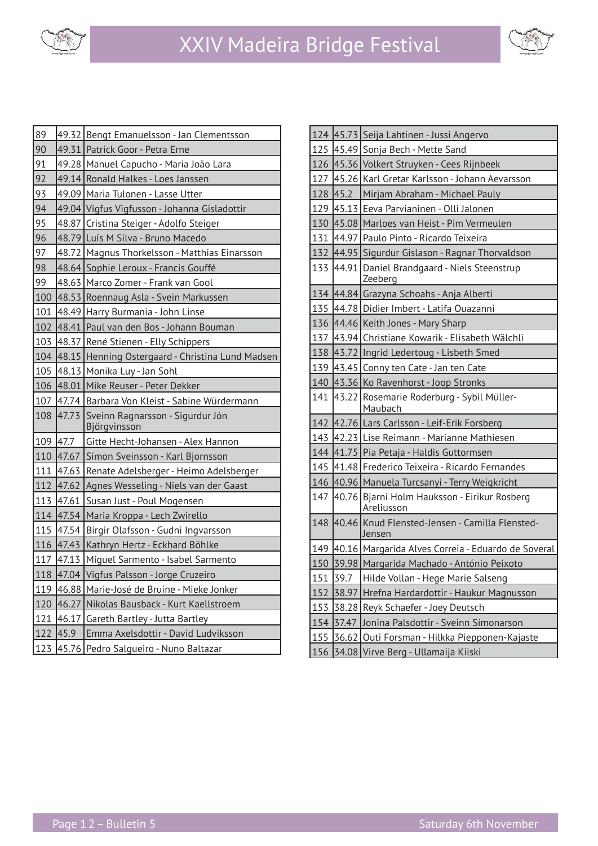



| 89  |           | 49.32 Bengt Emanuelsson - Jan Clementsson        |
|-----|-----------|--------------------------------------------------|
| 90  |           | 49.31 Patrick Goor - Petra Erne                  |
| 91  |           | 49.28   Manuel Capucho - Maria João Lara         |
| 92  |           | 49.14 Ronald Halkes - Loes Janssen               |
| 93  |           | 49.09   Maria Tulonen - Lasse Utter              |
| 94  |           | 49.04   Vigfus Vigfusson - Johanna Gisladottir   |
| 95  |           | 48.87 Cristina Steiger - Adolfo Steiger          |
| 96  |           | 48.79 Luís M Silva - Bruno Macedo                |
| 97  |           | 48.72   Magnus Thorkelsson - Matthias Einarsson  |
| 98  |           | 48.64 Sophie Leroux - Francis Gouffé             |
| 99  |           | 48.63 Marco Zomer - Frank van Gool               |
| 100 |           | 48.53 Roennaug Asla - Svein Markussen            |
| 101 |           | 48.49 Harry Burmania - John Linse                |
| 102 |           | 48.41 Paul van den Bos - Johann Bouman           |
| 103 |           | 48.37 René Stienen - Elly Schippers              |
| 104 |           | 48.15 Henning Ostergaard - Christina Lund Madsen |
| 105 |           | 48.13 Monika Luy - Jan Sohl                      |
| 106 |           | 48.01 Mike Reuser - Peter Dekker                 |
|     |           |                                                  |
| 107 |           | 47.74 Barbara Von Kleist - Sabine Würdermann     |
| 108 | 47.73     | Sveinn Ragnarsson - Sigurdur Jón<br>Björgvinsson |
| 109 | 47.7      | Gitte Hecht-Johansen - Alex Hannon               |
|     |           | 110 47.67 Símon Sveinsson - Karl Bjornsson       |
| 111 | 47.63     | Renate Adelsberger - Heimo Adelsberger           |
|     | 112 47.62 | Agnes Wesseling - Niels van der Gaast            |
| 113 | 47.61     | Susan Just - Poul Mogensen                       |
| 114 |           | 47.54 Maria Kroppa - Lech Zwirello               |
|     |           | 115 47.54 Birgir Olafsson - Gudni Ingvarsson     |
|     |           | 116 47.43 Kathryn Hertz - Eckhard Böhlke         |
|     |           | 117 47.13 Miguel Sarmento - Isabel Sarmento      |
| 118 |           | 47.04 Vigfus Palsson - Jorge Cruzeiro            |
| 119 | 46.88     | Marie-José de Bruine - Mieke Jonker              |
| 120 | 46.27     | Nikolas Bausback - Kurt Kaellstroem              |
| 121 | 46.17     | Gareth Bartley - Jutta Bartley                   |
| 122 | 45.9      | Emma Axelsdottir - David Ludviksson              |

| 124 |       | 45.73 Seija Lahtinen - Jussi Angervo                       |
|-----|-------|------------------------------------------------------------|
| 125 |       | 45.49 Sonja Bech - Mette Sand                              |
| 126 |       | 45.36 Volkert Struyken - Cees Rijnbeek                     |
| 127 |       | 45.26 Karl Gretar Karlsson - Johann Aevarsson              |
| 128 | 45.2  | Mirjam Abraham - Michael Pauly                             |
| 129 |       | 45.13 Eeva Parvianinen - Olli Jalonen                      |
| 130 |       | 45.08 Marloes van Heist - Pim Vermeulen                    |
| 131 |       | 44.97 Paulo Pinto - Ricardo Teixeira                       |
| 132 |       | 44.95 Sigurdur Gislason - Ragnar Thorvaldson               |
| 133 |       | 44.91 Daniel Brandgaard - Niels Steenstrup<br>Zeeberg      |
|     |       | 134 44.84 Grazyna Schoahs - Anja Alberti                   |
| 135 |       | 44.78 Didier Imbert - Latifa Ouazanni                      |
| 136 |       | 44.46 Keith Jones - Mary Sharp                             |
|     |       | 137 43.94 Christiane Kowarik - Elisabeth Wälchli           |
| 138 |       | 43.72 Ingrid Ledertoug - Lisbeth Smed                      |
| 139 |       | 43.45 Conny ten Cate - Jan ten Cate                        |
| 140 |       | 43.36 Ko Ravenhorst - Joop Stronks                         |
| 141 |       | 43.22 Rosemarie Roderburg - Sybil Müller-<br>Maubach       |
|     |       | 142 42.76 Lars Carlsson - Leif-Erik Forsberg               |
| 143 |       | 42.23 Lise Reimann - Marianne Mathiesen                    |
|     |       | 144 41.75 Pia Petaja - Haldis Guttormsen                   |
| 145 |       | 41.48 Frederico Teixeira - Ricardo Fernandes               |
|     |       | 146 40.96 Manuela Turcsanyi - Terry Weigkricht             |
| 147 |       | 40.76 Bjarni Holm Hauksson - Eirikur Rosberg<br>Areliusson |
| 148 |       | 40.46 Knud Flensted-Jensen - Camilla Flensted-<br>Jensen   |
| 149 |       | 40.16   Margarida Alves Correia - Eduardo de Soveral       |
| 150 |       | 39.98 Margarida Machado - António Peixoto                  |
| 151 | 39.7  | Hilde Vollan - Hege Marie Salseng                          |
| 152 | 38.97 | Hrefna Hardardottir - Haukur Magnusson                     |
| 153 |       | 38.28 Reyk Schaefer - Joey Deutsch                         |
| 154 | 37.47 | Jonina Palsdottir - Sveinn Símonarson                      |
| 155 | 36.62 | Outi Forsman - Hilkka Piepponen-Kajaste                    |
| 156 | 34.08 | Virve Berg - Ullamaija Kiiski                              |